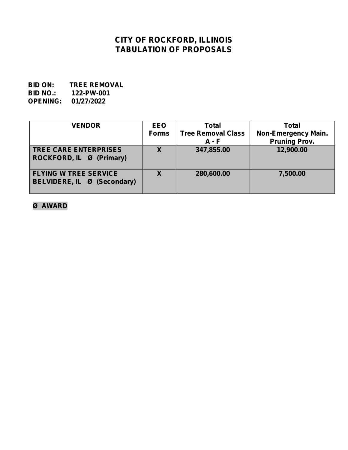# **CITY OF ROCKFORD, ILLINOIS TABULATION OF PROPOSALS**

**BID ON: TREE REMOVAL BID NO.: 122-PW-001 OPENING: 01/27/2022**

| <b>VENDOR</b>                                                   | <b>EEO</b><br><b>Forms</b> | <b>Total</b><br><b>Tree Removal Class</b><br>$A - F$ | <b>Total</b><br><b>Non-Emergency Main.</b><br><b>Pruning Prov.</b> |
|-----------------------------------------------------------------|----------------------------|------------------------------------------------------|--------------------------------------------------------------------|
| <b>TREE CARE ENTERPRISES</b><br><b>ROCKFORD, IL Ø (Primary)</b> | $\overline{\mathbf{X}}$    | 347,855.00                                           | 12,900.00                                                          |
| <b>FLYING W TREE SERVICE</b><br>BELVIDERE, IL Ø (Secondary)     | X                          | 280,600.00                                           | 7,500.00                                                           |

**Ø AWARD**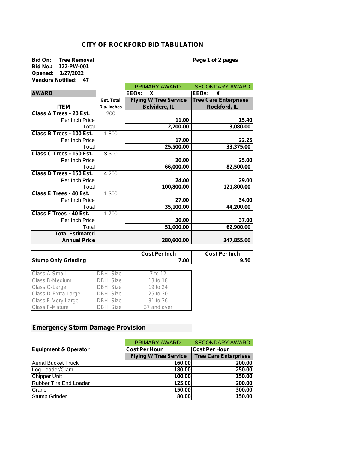### **CITY OF ROCKFORD BID TABULATION**

**Bid On: Tree Removal** *Page 1 of 2 pages* **Bid No.: 122-PW-001 Opened: 1/27/2022 Vendors Notified: 47**

|                          |             | <b>PRIMARY AWARD</b>         | <b>SECONDARY AWARD</b>       |
|--------------------------|-------------|------------------------------|------------------------------|
| <b>AWARD</b>             |             | <b>IEEOs:</b><br>X           | X<br>EEOs:                   |
|                          | Est. Total  | <b>Flying W Tree Service</b> | <b>Tree Care Enterprises</b> |
| <b>ITEM</b>              | Dia. Inches | <b>Belvidere, IL</b>         | Rockford, IL                 |
| Class A Trees - 20 Est.  | 200         |                              |                              |
| Per Inch Price           |             | 11.00                        | 15.40                        |
| Total                    |             | 2,200.00                     | 3,080.00                     |
| Class B Trees - 100 Est. | 1,500       |                              |                              |
| Per Inch Price           |             | 17.00                        | 22.25                        |
| Total                    |             | 25,500.00                    | 33,375.00                    |
| Class C Trees - 150 Est. | 3,300       |                              |                              |
| Per Inch Price           |             | 20.00                        | 25.00                        |
| Total                    |             | 66,000.00                    | 82,500.00                    |
| Class D Trees - 150 Est. | 4,200       |                              |                              |
| Per Inch Price           |             | 24.00                        | 29.00                        |
| Total                    |             | 100,800.00                   | 121,800.00                   |
| Class E Trees - 40 Est.  | 1,300       |                              |                              |
| Per Inch Price           |             | 27.00                        | 34.00                        |
| Total                    |             | 35,100.00                    | 44,200.00                    |
| Class F Trees - 40 Est.  | 1,700       |                              |                              |
| Per Inch Price           |             | 30.00                        | 37.00                        |
| Total                    |             | 51,000.00                    | 62,900.00                    |
| <b>Total Estimated</b>   |             |                              |                              |
| <b>Annual Price</b>      |             | 280,600.00                   | 347,855.00                   |

|                            |          | <b>Cost Per Inch</b> | <b>Cost Per Inch</b> |
|----------------------------|----------|----------------------|----------------------|
| <b>Stump Only Grinding</b> |          | 7.00                 | 9.50                 |
|                            |          |                      |                      |
| Class A-Small              | DBH Size | 7 to 12              |                      |
| Class B-Medium             | DBH Size | 13 to 18             |                      |
| Class C-Large              | DBH Size | 19 to 24             |                      |
| Class D-Extra Large        | DBH Size | 25 to 30             |                      |
| Class E-Very Large         | DBH Size | 31 to 36             |                      |
| Class F-Mature             | DBH Size | 37 and over          |                      |

#### **Emergency Storm Damage Provision**

|                               | <b>PRIMARY AWARD</b>         | <b>SECONDARY AWARD</b>       |
|-------------------------------|------------------------------|------------------------------|
| Equipment & Operator          | <b>Cost Per Hour</b>         | <b>ICost Per Hour</b>        |
|                               | <b>Flying W Tree Service</b> | <b>Tree Care Enterprises</b> |
| <b>Aerial Bucket Truck</b>    | 160.00                       | 200.00                       |
| Log Loader/Clam               | 180.00                       | 250.00                       |
| <b>Chipper Unit</b>           | 100.00                       | 150.00                       |
| <b>Rubber Tire End Loader</b> | 125.00                       | 200.00                       |
| Crane                         | 150.00                       | 300.00                       |
| <b>Stump Grinder</b>          | 80.00                        | 150.00                       |